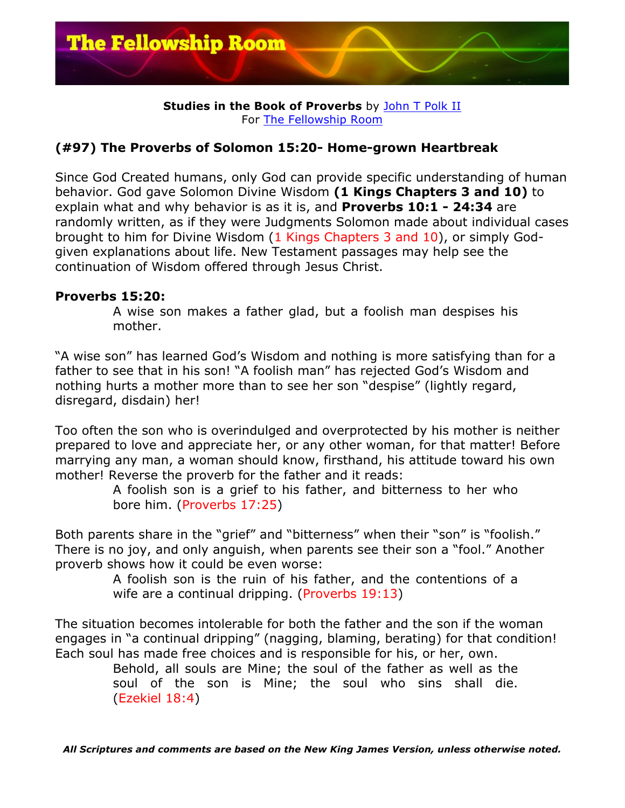

#### **Studies in the Book of Proverbs** by John T Polk II For The Fellowship Room

# **(#97) The Proverbs of Solomon 15:20- Home-grown Heartbreak**

Since God Created humans, only God can provide specific understanding of human behavior. God gave Solomon Divine Wisdom **(1 Kings Chapters 3 and 10)** to explain what and why behavior is as it is, and **Proverbs 10:1 - 24:34** are randomly written, as if they were Judgments Solomon made about individual cases brought to him for Divine Wisdom (1 Kings Chapters 3 and 10), or simply Godgiven explanations about life. New Testament passages may help see the continuation of Wisdom offered through Jesus Christ.

## **Proverbs 15:20:**

A wise son makes a father glad, but a foolish man despises his mother.

"A wise son" has learned God's Wisdom and nothing is more satisfying than for a father to see that in his son! "A foolish man" has rejected God's Wisdom and nothing hurts a mother more than to see her son "despise" (lightly regard, disregard, disdain) her!

Too often the son who is overindulged and overprotected by his mother is neither prepared to love and appreciate her, or any other woman, for that matter! Before marrying any man, a woman should know, firsthand, his attitude toward his own mother! Reverse the proverb for the father and it reads:

> A foolish son is a grief to his father, and bitterness to her who bore him. (Proverbs 17:25)

Both parents share in the "grief" and "bitterness" when their "son" is "foolish." There is no joy, and only anguish, when parents see their son a "fool." Another proverb shows how it could be even worse:

> A foolish son is the ruin of his father, and the contentions of a wife are a continual dripping. (Proverbs 19:13)

The situation becomes intolerable for both the father and the son if the woman engages in "a continual dripping" (nagging, blaming, berating) for that condition! Each soul has made free choices and is responsible for his, or her, own.

Behold, all souls are Mine; the soul of the father as well as the soul of the son is Mine; the soul who sins shall die. (Ezekiel 18:4)